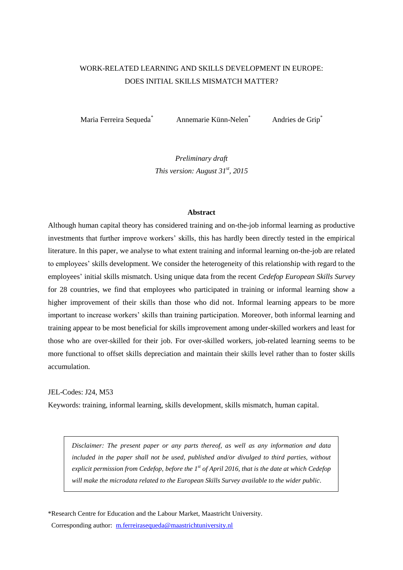# WORK-RELATED LEARNING AND SKILLS DEVELOPMENT IN EUROPE: DOES INITIAL SKILLS MISMATCH MATTER?

Maria Ferreira Sequeda<sup>\*</sup> Annemarie Künn-Nelen<sup>\*</sup> Andries de Grip<sup>\*</sup>

*Preliminary draft This version: August 31 st, 2015*

#### **Abstract**

Although human capital theory has considered training and on-the-job informal learning as productive investments that further improve workers' skills, this has hardly been directly tested in the empirical literature. In this paper, we analyse to what extent training and informal learning on-the-job are related to employees' skills development. We consider the heterogeneity of this relationship with regard to the employees' initial skills mismatch. Using unique data from the recent *Cedefop European Skills Survey* for 28 countries, we find that employees who participated in training or informal learning show a higher improvement of their skills than those who did not. Informal learning appears to be more important to increase workers' skills than training participation. Moreover, both informal learning and training appear to be most beneficial for skills improvement among under-skilled workers and least for those who are over-skilled for their job. For over-skilled workers, job-related learning seems to be more functional to offset skills depreciation and maintain their skills level rather than to foster skills accumulation.

### JEL-Codes: J24, M53

Keywords: training, informal learning, skills development, skills mismatch, human capital.

*Disclaimer: The present paper or any parts thereof, as well as any information and data included in the paper shall not be used, published and/or divulged to third parties, without explicit permission from Cedefop, before the 1st of April 2016, that is the date at which Cedefop will make the microdata related to the European Skills Survey available to the wider public*.

\*Research Centre for Education and the Labour Market, Maastricht University. Corresponding author: [m.ferreirasequeda@maastrichtuniversity.nl](mailto:m.ferreirasequeda@maastrichtuniversity.nl)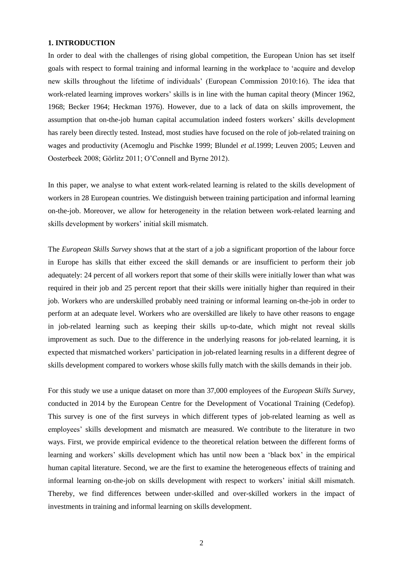# **1. INTRODUCTION**

In order to deal with the challenges of rising global competition, the European Union has set itself goals with respect to formal training and informal learning in the workplace to 'acquire and develop new skills throughout the lifetime of individuals' (European Commission 2010:16). The idea that work-related learning improves workers' skills is in line with the human capital theory (Mincer 1962, 1968; Becker 1964; Heckman 1976). However, due to a lack of data on skills improvement, the assumption that on-the-job human capital accumulation indeed fosters workers' skills development has rarely been directly tested. Instead, most studies have focused on the role of job-related training on wages and productivity (Acemoglu and Pischke 1999; Blundel *et al.*1999; Leuven 2005; Leuven and Oosterbeek 2008; Görlitz 2011; O'Connell and Byrne 2012).

In this paper, we analyse to what extent work-related learning is related to the skills development of workers in 28 European countries. We distinguish between training participation and informal learning on-the-job. Moreover, we allow for heterogeneity in the relation between work-related learning and skills development by workers' initial skill mismatch.

The *European Skills Survey* shows that at the start of a job a significant proportion of the labour force in Europe has skills that either exceed the skill demands or are insufficient to perform their job adequately: 24 percent of all workers report that some of their skills were initially lower than what was required in their job and 25 percent report that their skills were initially higher than required in their job. Workers who are underskilled probably need training or informal learning on-the-job in order to perform at an adequate level. Workers who are overskilled are likely to have other reasons to engage in job-related learning such as keeping their skills up-to-date, which might not reveal skills improvement as such. Due to the difference in the underlying reasons for job-related learning, it is expected that mismatched workers' participation in job-related learning results in a different degree of skills development compared to workers whose skills fully match with the skills demands in their job.

For this study we use a unique dataset on more than 37,000 employees of the *European Skills Survey*, conducted in 2014 by the European Centre for the Development of Vocational Training (Cedefop). This survey is one of the first surveys in which different types of job-related learning as well as employees' skills development and mismatch are measured. We contribute to the literature in two ways. First, we provide empirical evidence to the theoretical relation between the different forms of learning and workers' skills development which has until now been a 'black box' in the empirical human capital literature. Second, we are the first to examine the heterogeneous effects of training and informal learning on-the-job on skills development with respect to workers' initial skill mismatch. Thereby, we find differences between under-skilled and over-skilled workers in the impact of investments in training and informal learning on skills development.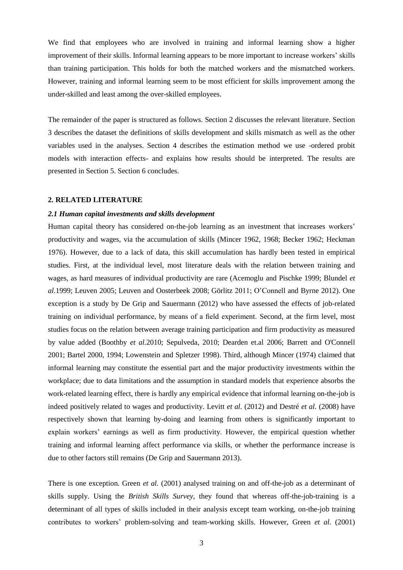We find that employees who are involved in training and informal learning show a higher improvement of their skills. Informal learning appears to be more important to increase workers' skills than training participation. This holds for both the matched workers and the mismatched workers. However, training and informal learning seem to be most efficient for skills improvement among the under-skilled and least among the over-skilled employees.

The remainder of the paper is structured as follows. Section 2 discusses the relevant literature. Section 3 describes the dataset the definitions of skills development and skills mismatch as well as the other variables used in the analyses. Section 4 describes the estimation method we use -ordered probit models with interaction effects- and explains how results should be interpreted. The results are presented in Section 5. Section 6 concludes.

#### **2. RELATED LITERATURE**

#### *2.1 Human capital investments and skills development*

Human capital theory has considered on-the-job learning as an investment that increases workers' productivity and wages, via the accumulation of skills (Mincer 1962, 1968; Becker 1962; Heckman 1976). However, due to a lack of data, this skill accumulation has hardly been tested in empirical studies. First, at the individual level, most literature deals with the relation between training and wages, as hard measures of individual productivity are rare (Acemoglu and Pischke 1999; Blundel *et al.*1999; Leuven 2005; Leuven and Oosterbeek 2008; Görlitz 2011; O'Connell and Byrne 2012). One exception is a study by De Grip and Sauermann (2012) who have assessed the effects of job-related training on individual performance, by means of a field experiment. Second, at the firm level, most studies focus on the relation between average training participation and firm productivity as measured by value added (Boothby *et al.*2010; Sepulveda, 2010; Dearden et.al 2006; Barrett and O'Connell 2001; Bartel 2000, 1994; Lowenstein and Spletzer 1998). Third, although Mincer (1974) claimed that informal learning may constitute the essential part and the major productivity investments within the workplace; due to data limitations and the assumption in standard models that experience absorbs the work-related learning effect, there is hardly any empirical evidence that informal learning on-the-job is indeed positively related to wages and productivity. Levitt *et al.* (2012) and Destré *et al.* (2008) have respectively shown that learning by-doing and learning from others is significantly important to explain workers' earnings as well as firm productivity. However, the empirical question whether training and informal learning affect performance via skills, or whether the performance increase is due to other factors still remains (De Grip and Sauermann 2013).

There is one exception. Green *et al.* (2001) analysed training on and off-the-job as a determinant of skills supply. Using the *British Skills Survey*, they found that whereas off-the-job-training is a determinant of all types of skills included in their analysis except team working, on-the-job training contributes to workers' problem-solving and team-working skills. However, Green *et al.* (2001)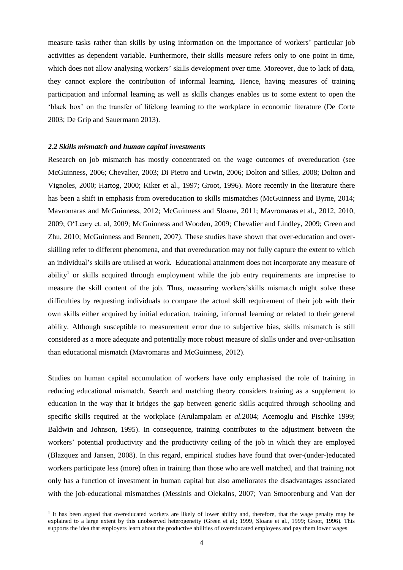measure tasks rather than skills by using information on the importance of workers' particular job activities as dependent variable. Furthermore, their skills measure refers only to one point in time, which does not allow analysing workers' skills development over time. Moreover, due to lack of data, they cannot explore the contribution of informal learning. Hence, having measures of training participation and informal learning as well as skills changes enables us to some extent to open the 'black box' on the transfer of lifelong learning to the workplace in economic literature (De Corte 2003; De Grip and Sauermann 2013).

### *2.2 Skills mismatch and human capital investments*

 $\overline{a}$ 

Research on job mismatch has mostly concentrated on the wage outcomes of overeducation (see McGuinness, 2006; Chevalier, 2003; Di Pietro and Urwin, 2006; Dolton and Silles, 2008; Dolton and Vignoles, 2000; Hartog, 2000; Kiker et al., 1997; Groot, 1996). More recently in the literature there has been a shift in emphasis from overeducation to skills mismatches (McGuinness and Byrne, 2014; Mavromaras and McGuinness, 2012; McGuinness and Sloane, 2011; Mavromaras et al., 2012, 2010, 2009; O'Leary et. al, 2009; McGuinness and Wooden, 2009; Chevalier and Lindley, 2009; Green and Zhu, 2010; McGuinness and Bennett, 2007). These studies have shown that over-education and overskilling refer to different phenomena, and that overeducation may not fully capture the extent to which an individual's skills are utilised at work. Educational attainment does not incorporate any measure of ability<sup>1</sup> or skills acquired through employment while the job entry requirements are imprecise to measure the skill content of the job. Thus, measuring workers'skills mismatch might solve these difficulties by requesting individuals to compare the actual skill requirement of their job with their own skills either acquired by initial education, training, informal learning or related to their general ability. Although susceptible to measurement error due to subjective bias, skills mismatch is still considered as a more adequate and potentially more robust measure of skills under and over-utilisation than educational mismatch (Mavromaras and McGuinness, 2012).

Studies on human capital accumulation of workers have only emphasised the role of training in reducing educational mismatch. Search and matching theory considers training as a supplement to education in the way that it bridges the gap between generic skills acquired through schooling and specific skills required at the workplace (Arulampalam *et al.*2004; Acemoglu and Pischke 1999; Baldwin and Johnson, 1995). In consequence, training contributes to the adjustment between the workers' potential productivity and the productivity ceiling of the job in which they are employed (Blazquez and Jansen, 2008). In this regard, empirical studies have found that over-(under-)educated workers participate less (more) often in training than those who are well matched, and that training not only has a function of investment in human capital but also ameliorates the disadvantages associated with the job-educational mismatches (Messinis and Olekalns, 2007; Van Smoorenburg and Van der

<sup>&</sup>lt;sup>1</sup> It has been argued that overeducated workers are likely of lower ability and, therefore, that the wage penalty may be explained to a large extent by this unobserved heterogeneity (Green et al.; 1999, Sloane et al., 1999; Groot, 1996). This supports the idea that employers learn about the productive abilities of overeducated employees and pay them lower wages.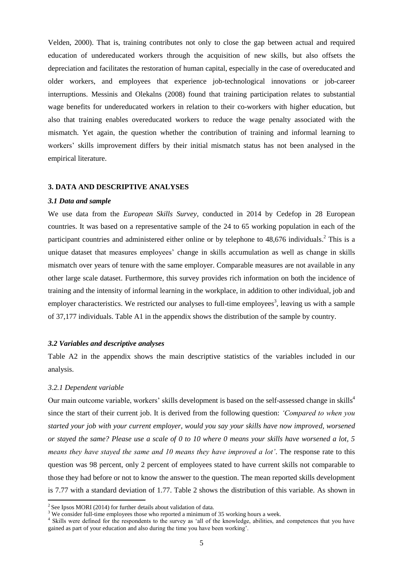Velden, 2000). That is, training contributes not only to close the gap between actual and required education of undereducated workers through the acquisition of new skills, but also offsets the depreciation and facilitates the restoration of human capital, especially in the case of overeducated and older workers, and employees that experience job-technological innovations or job-career interruptions. Messinis and Olekalns (2008) found that training participation relates to substantial wage benefits for undereducated workers in relation to their co-workers with higher education, but also that training enables overeducated workers to reduce the wage penalty associated with the mismatch. Yet again, the question whether the contribution of training and informal learning to workers' skills improvement differs by their initial mismatch status has not been analysed in the empirical literature.

#### **3. DATA AND DESCRIPTIVE ANALYSES**

#### *3.1 Data and sample*

We use data from the *European Skills Survey*, conducted in 2014 by Cedefop in 28 European countries. It was based on a representative sample of the 24 to 65 working population in each of the participant countries and administered either online or by telephone to 48,676 individuals.<sup>2</sup> This is a unique dataset that measures employees' change in skills accumulation as well as change in skills mismatch over years of tenure with the same employer. Comparable measures are not available in any other large scale dataset. Furthermore, this survey provides rich information on both the incidence of training and the intensity of informal learning in the workplace, in addition to other individual, job and employer characteristics. We restricted our analyses to full-time employees<sup>3</sup>, leaving us with a sample of 37,177 individuals. Table A1 in the appendix shows the distribution of the sample by country.

# *3.2 Variables and descriptive analyses*

Table A2 in the appendix shows the main descriptive statistics of the variables included in our analysis.

#### *3.2.1 Dependent variable*

Our main outcome variable, workers' skills development is based on the self-assessed change in skills<sup>4</sup> since the start of their current job. It is derived from the following question: *'Compared to when you started your job with your current employer, would you say your skills have now improved, worsened or stayed the same? Please use a scale of 0 to 10 where 0 means your skills have worsened a lot, 5 means they have stayed the same and 10 means they have improved a lot'*. The response rate to this question was 98 percent, only 2 percent of employees stated to have current skills not comparable to those they had before or not to know the answer to the question. The mean reported skills development is 7.77 with a standard deviation of 1.77. Table 2 shows the distribution of this variable. As shown in

<sup>&</sup>lt;sup>2</sup> See Ipsos MORI (2014) for further details about validation of data.

<sup>&</sup>lt;sup>3</sup> We consider full-time employees those who reported a minimum of 35 working hours a week.

<sup>&</sup>lt;sup>4</sup> Skills were defined for the respondents to the survey as 'all of the knowledge, abilities, and competences that you have gained as part of your education and also during the time you have been working'.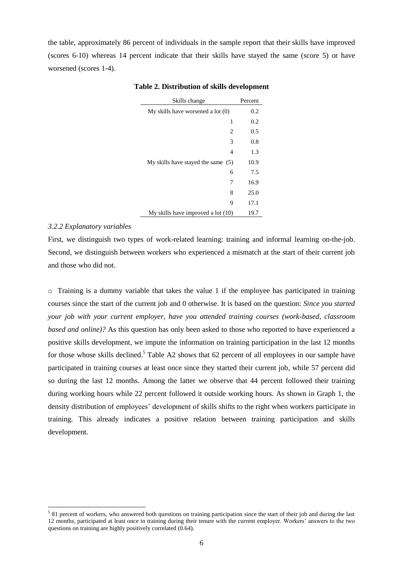the table, approximately 86 percent of individuals in the sample report that their skills have improved (scores 6-10) whereas 14 percent indicate that their skills have stayed the same (score 5) or have worsened (scores 1-4).

| Skills change                        | Percent |
|--------------------------------------|---------|
| My skills have worsened a lot $(0)$  | 0.2     |
| 1                                    | 0.2     |
| 2                                    | 0.5     |
| 3                                    | 0.8     |
| 4                                    | 1.3     |
| My skills have stayed the same $(5)$ | 10.9    |
| 6                                    | 7.5     |
| 7                                    | 16.9    |
| 8                                    | 25.0    |
| 9                                    | 17.1    |
| My skills have improved a lot (10)   | 19.7    |

# **Table 2. Distribution of skills development**

#### *3.2.2 Explanatory variables*

 $\overline{a}$ 

First, we distinguish two types of work-related learning: training and informal learning on-the-job. Second, we distinguish between workers who experienced a mismatch at the start of their current job and those who did not.

 $\circ$  Training is a dummy variable that takes the value 1 if the employee has participated in training courses since the start of the current job and 0 otherwise. It is based on the question: *Since you started your job with your current employer, have you attended training courses (work-based, classroom based and online)?* As this question has only been asked to those who reported to have experienced a positive skills development, we impute the information on training participation in the last 12 months for those whose skills declined.<sup>5</sup> Table A2 shows that 62 percent of all employees in our sample have participated in training courses at least once since they started their current job, while 57 percent did so during the last 12 months. Among the latter we observe that 44 percent followed their training during working hours while 22 percent followed it outside working hours. As shown in Graph 1, the density distribution of employees' development of skills shifts to the right when workers participate in training. This already indicates a positive relation between training participation and skills development.

<sup>&</sup>lt;sup>5</sup> 81 percent of workers, who answered both questions on training participation since the start of their job and during the last 12 months, participated at least once in training during their tenure with the current employer. Workers' answers to the two questions on training are highly positively correlated (0.64).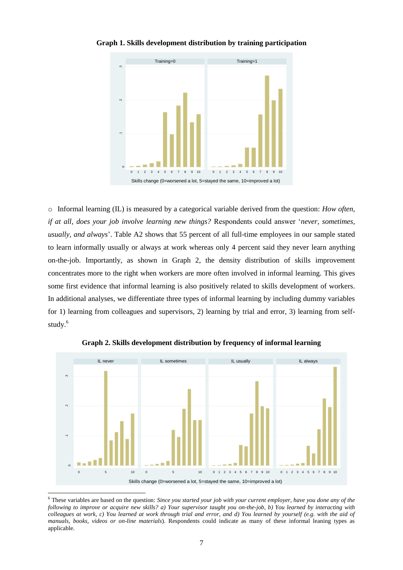

# **Graph 1. Skills development distribution by training participation**

o Informal learning (IL) is measured by a categorical variable derived from the question: *How often, if at all, does your job involve learning new things?* Respondents could answer '*never, sometimes, usually, and always*'. Table A2 shows that 55 percent of all full-time employees in our sample stated to learn informally usually or always at work whereas only 4 percent said they never learn anything on-the-job. Importantly, as shown in Graph 2, the density distribution of skills improvement concentrates more to the right when workers are more often involved in informal learning. This gives some first evidence that informal learning is also positively related to skills development of workers. In additional analyses, we differentiate three types of informal learning by including dummy variables for 1) learning from colleagues and supervisors, 2) learning by trial and error, 3) learning from selfstudy. 6



**Graph 2. Skills development distribution by frequency of informal learning** 

l

<sup>6</sup> These variables are based on the question: *Since you started your job with your current employer, have you done any of the following to improve or acquire new skills? a) Your supervisor taught you on-the-job, b) You learned by interacting with colleagues at work, c) You learned at work through trial and error, and d) You learned by yourself (e.g. with the aid of manuals, books, videos or on-line materials*). Respondents could indicate as many of these informal leaning types as applicable.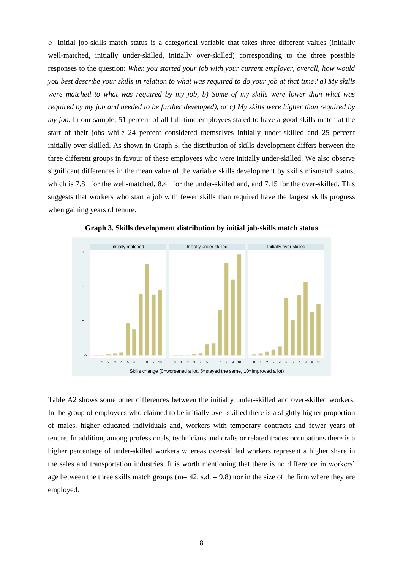$\circ$  Initial job-skills match status is a categorical variable that takes three different values (initially well-matched, initially under-skilled, initially over-skilled) corresponding to the three possible responses to the question: *When you started your job with your current employer, overall, how would you best describe your skills in relation to what was required to do your job at that time? a) My skills were matched to what was required by my job, b) Some of my skills were lower than what was required by my job and needed to be further developed), or c) My skills were higher than required by my job.* In our sample, 51 percent of all full-time employees stated to have a good skills match at the start of their jobs while 24 percent considered themselves initially under-skilled and 25 percent initially over-skilled. As shown in Graph 3, the distribution of skills development differs between the three different groups in favour of these employees who were initially under-skilled. We also observe significant differences in the mean value of the variable skills development by skills mismatch status, which is 7.81 for the well-matched, 8.41 for the under-skilled and, and 7.15 for the over-skilled. This suggests that workers who start a job with fewer skills than required have the largest skills progress when gaining years of tenure.



**Graph 3. Skills development distribution by initial job-skills match status**

Table A2 shows some other differences between the initially under-skilled and over-skilled workers. In the group of employees who claimed to be initially over-skilled there is a slightly higher proportion of males, higher educated individuals and, workers with temporary contracts and fewer years of tenure. In addition, among professionals, technicians and crafts or related trades occupations there is a higher percentage of under-skilled workers whereas over-skilled workers represent a higher share in the sales and transportation industries. It is worth mentioning that there is no difference in workers' age between the three skills match groups ( $m= 42$ , s.d.  $= 9.8$ ) nor in the size of the firm where they are employed.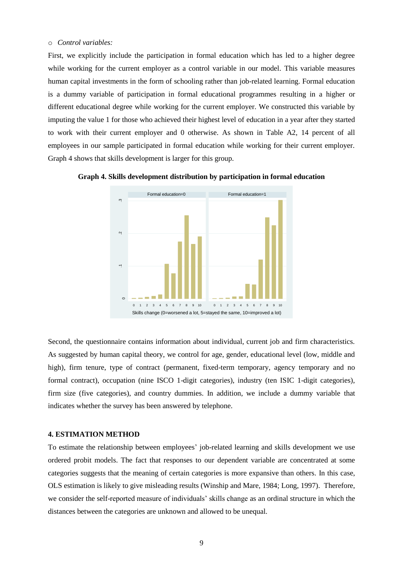# o *Control variables:*

First, we explicitly include the participation in formal education which has led to a higher degree while working for the current employer as a control variable in our model. This variable measures human capital investments in the form of schooling rather than job-related learning. Formal education is a dummy variable of participation in formal educational programmes resulting in a higher or different educational degree while working for the current employer. We constructed this variable by imputing the value 1 for those who achieved their highest level of education in a year after they started to work with their current employer and 0 otherwise. As shown in Table A2, 14 percent of all employees in our sample participated in formal education while working for their current employer. Graph 4 shows that skills development is larger for this group.



**Graph 4. Skills development distribution by participation in formal education** 

Second, the questionnaire contains information about individual, current job and firm characteristics. As suggested by human capital theory, we control for age, gender, educational level (low, middle and high), firm tenure, type of contract (permanent, fixed-term temporary, agency temporary and no formal contract), occupation (nine ISCO 1-digit categories), industry (ten ISIC 1-digit categories), firm size (five categories), and country dummies. In addition, we include a dummy variable that indicates whether the survey has been answered by telephone.

# **4. ESTIMATION METHOD**

To estimate the relationship between employees' job-related learning and skills development we use ordered probit models. The fact that responses to our dependent variable are concentrated at some categories suggests that the meaning of certain categories is more expansive than others. In this case, OLS estimation is likely to give misleading results (Winship and Mare, 1984; Long, 1997). Therefore, we consider the self-reported measure of individuals' skills change as an ordinal structure in which the distances between the categories are unknown and allowed to be unequal.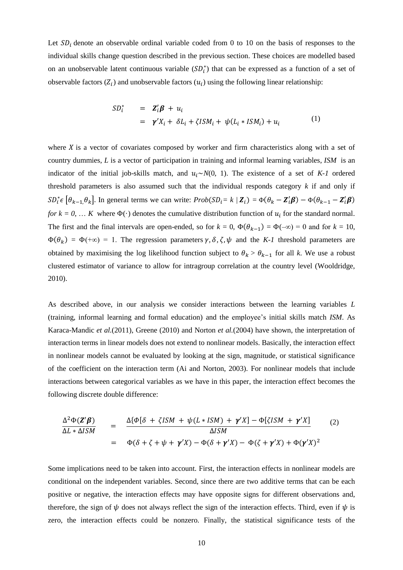Let  $SD<sub>i</sub>$  denote an observable ordinal variable coded from 0 to 10 on the basis of responses to the individual skills change question described in the previous section. These choices are modelled based on an unobservable latent continuous variable  $(SD_i^*)$  that can be expressed as a function of a set of observable factors  $(Z_i)$  and unobservable factors  $(u_i)$  using the following linear relationship:

$$
SD_i^* = \mathbf{Z}_i'\mathbf{\beta} + u_i
$$
  
=  $\gamma'X_i + \delta L_i + \zeta I S M_i + \psi (L_i * I S M_i) + u_i$  (1)

where  $X$  is a vector of covariates composed by worker and firm characteristics along with a set of country dummies, *L* is a vector of participation in training and informal learning variables, *ISM* is an indicator of the initial job-skills match, and ∼*N*(0, 1). The existence of a set of *K-1* ordered threshold parameters is also assumed such that the individual responds category *k* if and only if  $SD_i^* \in [\theta_{k-1}, \theta_k]$ . In general terms we can write:  $Prob(SD_i = k / \mathbb{Z}_i) = \Phi(\theta_k - \mathbb{Z}_i' \boldsymbol{\beta}) - \Phi(\theta_{k-1} - \mathbb{Z}_i' \boldsymbol{\beta})$ *for*  $k = 0, \ldots K$  where  $\Phi(\cdot)$  denotes the cumulative distribution function of  $u_i$  for the standard normal. The first and the final intervals are open-ended, so for  $k = 0$ ,  $\Phi(\theta_{k-1}) = \Phi(-\infty) = 0$  and for  $k = 10$ ,  $\Phi(\theta_k) = \Phi(\pm \infty) = 1$ . The regression parameters  $\gamma$ ,  $\delta$ ,  $\zeta$ ,  $\psi$  and the *K-1* threshold parameters are obtained by maximising the log likelihood function subject to  $\theta_k > \theta_{k-1}$  for all k. We use a robust clustered estimator of variance to allow for intragroup correlation at the country level (Wooldridge, 2010).

As described above, in our analysis we consider interactions between the learning variables *L* (training, informal learning and formal education) and the employee's initial skills match *ISM*. As Karaca-Mandic *et al.*(2011), Greene (2010) and Norton *et al.*(2004) have shown, the interpretation of interaction terms in linear models does not extend to nonlinear models. Basically, the interaction effect in nonlinear models cannot be evaluated by looking at the sign, magnitude, or statistical significance of the coefficient on the interaction term (Ai and Norton, 2003). For nonlinear models that include interactions between categorical variables as we have in this paper, the interaction effect becomes the following discrete double difference:

$$
\frac{\Delta^2 \Phi(\mathbf{Z}' \boldsymbol{\beta})}{\Delta L * \Delta I S M} = \frac{\Delta \{\Phi[\delta + \zeta I S M + \psi (L * I S M) + \gamma' X] - \Phi[\zeta I S M + \gamma' X]}{\Delta I S M}
$$
\n
$$
= \Phi(\delta + \zeta + \psi + \gamma' X) - \Phi(\delta + \gamma' X) - \Phi(\zeta + \gamma' X) + \Phi(\gamma' X)^2
$$
\n(2)

Some implications need to be taken into account. First, the interaction effects in nonlinear models are conditional on the independent variables. Second, since there are two additive terms that can be each positive or negative, the interaction effects may have opposite signs for different observations and, therefore, the sign of  $\psi$  does not always reflect the sign of the interaction effects. Third, even if  $\psi$  is zero, the interaction effects could be nonzero. Finally, the statistical significance tests of the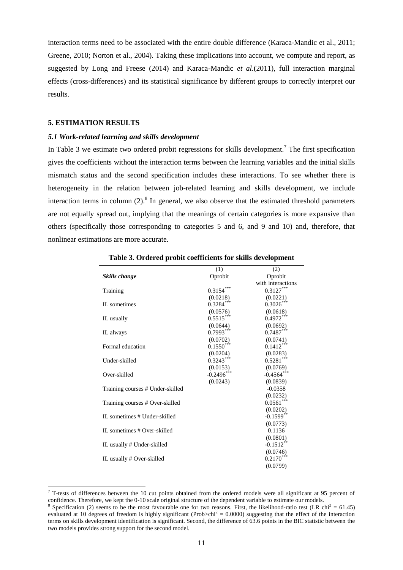interaction terms need to be associated with the entire double difference (Karaca-Mandic et al., 2011; Greene, 2010; Norton et al., 2004). Taking these implications into account, we compute and report, as suggested by Long and Freese (2014) and Karaca-Mandic *et al.*(2011), full interaction marginal effects (cross-differences) and its statistical significance by different groups to correctly interpret our results.

### **5. ESTIMATION RESULTS**

 $\overline{a}$ 

#### *5.1 Work-related learning and skills development*

In Table 3 we estimate two ordered probit regressions for skills development.<sup>7</sup> The first specification gives the coefficients without the interaction terms between the learning variables and the initial skills mismatch status and the second specification includes these interactions. To see whether there is heterogeneity in the relation between job-related learning and skills development, we include interaction terms in column  $(2)$ .<sup>8</sup> In general, we also observe that the estimated threshold parameters are not equally spread out, implying that the meanings of certain categories is more expansive than others (specifically those corresponding to categories 5 and 6, and 9 and 10) and, therefore, that nonlinear estimations are more accurate.

|                                  | (1)          | (2)               |
|----------------------------------|--------------|-------------------|
| Skills change                    | Oprobit      | Oprobit           |
|                                  |              | with interactions |
| Training                         | 0.3154       | $0.3127***$       |
|                                  | (0.0218)     | (0.0221)          |
| IL sometimes                     | $0.3284***$  | $0.3026***$       |
|                                  | (0.0576)     | (0.0618)          |
| IL usually                       | $0.5515***$  | $0.4972***$       |
|                                  | (0.0644)     | (0.0692)          |
| IL always                        | $0.7993***$  | $0.7487***$       |
|                                  | (0.0702)     | (0.0741)          |
| Formal education                 | $0.1550***$  | $0.1412***$       |
|                                  | (0.0204)     | (0.0283)          |
| Under-skilled                    | $0.3243***$  | $0.5281***$       |
|                                  | (0.0153)     | (0.0769)          |
| Over-skilled                     | $-0.2496***$ | $-0.4564***$      |
|                                  | (0.0243)     | (0.0839)          |
| Training courses # Under-skilled |              | $-0.0358$         |
|                                  |              | (0.0232)          |
| Training courses # Over-skilled  |              | $0.0561***$       |
|                                  |              | (0.0202)          |
| IL sometimes # Under-skilled     |              | $-0.1599**$       |
|                                  |              | (0.0773)          |
| IL sometimes # Over-skilled      |              | 0.1136            |
|                                  |              | (0.0801)          |
| IL usually # Under-skilled       |              | $-0.1512$ **      |
|                                  |              | (0.0746)          |
| IL usually # Over-skilled        |              | $0.2170***$       |
|                                  |              | (0.0799)          |

**Table 3. Ordered probit coefficients for skills development**

 $7$  T-tests of differences between the 10 cut points obtained from the ordered models were all significant at 95 percent of confidence. Therefore, we kept the 0-10 scale original structure of the dependent variable to estimate our models.

<sup>&</sup>lt;sup>8</sup> Specification (2) seems to be the most favourable one for two reasons. First, the likelihood-ratio test (LR chi<sup>2</sup> = 61.45) evaluated at 10 degrees of freedom is highly significant (Prob>chi<sup>2</sup> = 0.0000) suggesting that the effect of the interaction terms on skills development identification is significant. Second, the difference of 63.6 points in the BIC statistic between the two models provides strong support for the second model.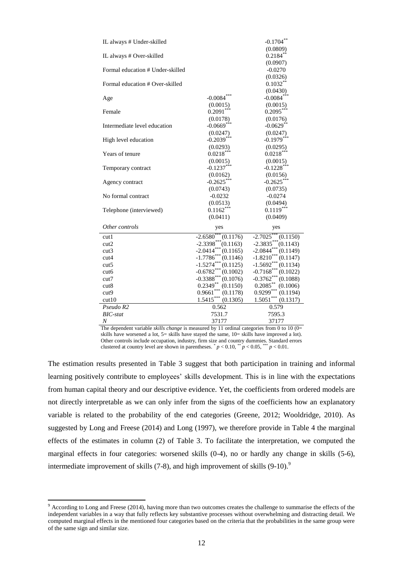| IL always # Under-skilled        |                               | $-0.1704$ **                    |
|----------------------------------|-------------------------------|---------------------------------|
|                                  |                               | (0.0809)                        |
| IL always # Over-skilled         |                               | $0.2184**$                      |
|                                  |                               | (0.0907)                        |
| Formal education # Under-skilled |                               | $-0.0270$                       |
|                                  |                               | (0.0326)                        |
| Formal education # Over-skilled  |                               | $0.1032**$                      |
|                                  | ***                           | (0.0430)                        |
| Age                              | $-0.0084$                     | $-0.0084***$                    |
|                                  | (0.0015)                      | (0.0015)                        |
| Female                           | $0.2091***$                   | $0.2095***$                     |
|                                  | (0.0178)                      | (0.0176)                        |
| Intermediate level education     | $-0.0669***$                  | $-0.0629$ **                    |
|                                  | (0.0247)                      | (0.0247)                        |
| High level education             | $-0.2039***$                  | $-0.1979***$                    |
|                                  | (0.0293)                      | (0.0295)                        |
| Years of tenure                  | $0.0218***$                   | $0.0218***$                     |
|                                  | (0.0015)                      | (0.0015)                        |
| Temporary contract               | $-0.1237***$                  | $-0.1228***$                    |
|                                  | (0.0162)                      | (0.0156)                        |
| Agency contract                  | $-0.2625***$                  | $-0.2625***$                    |
|                                  | (0.0743)                      | (0.0735)                        |
| No formal contract               | $-0.0232$                     | $-0.0274$                       |
|                                  | (0.0513)                      | (0.0494)                        |
| Telephone (interviewed)          | $0.1162***$                   | $0.1119***$                     |
|                                  | (0.0411)                      | (0.0409)                        |
| Other controls                   | yes                           | yes                             |
| cutl                             | $-2.6580$<br>(0.1176)         | $-2.7025$<br>(0.1150)           |
| cut2                             | $-2.3398***$<br>(0.1163)      | $-2.3835***$<br>(0.1143)        |
| cut3                             | $-2.0414***$<br>(0.1165)      | $-2.0844***$<br>(0.1149)        |
| cut4                             | $-1.7786$ ***<br>(0.1146)     | $-1.8210***$<br>(0.1147)        |
| cut5                             | $-1.5274***$<br>(0.1125)      | $-1.5692***$<br>(0.1134)        |
| cut6                             | $-0.6782***$<br>(0.1002)      | $-0.7168***$<br>(0.1022)        |
| cut7                             | $-0.3388$ ***<br>(0.1076)     | $-0.3762***$<br>(0.1088)        |
| cut8                             | $0.2349**$<br>(0.1150)<br>*** | $0.2085^{\ast\ast}$<br>(0.1006) |
| cut <sub>9</sub>                 | 0.9661<br>(0.1178)            | $0.9299***$<br>(0.1194)         |
| cut10                            | $1.5415***$<br>(0.1305)       | $1.5051***$<br>(0.1317)         |
| Pseudo R2                        | 0.562                         | 0.579                           |
| $BIC$ -stat                      | 7531.7                        | 7595.3                          |
| $\boldsymbol{N}$                 | 37177                         | 37177                           |

The dependent variable *skills change* is measured by 11 ordinal categories from 0 to 10 (0= skills have worsened a lot, 5= skills have stayed the same, 10= skills have improved a lot). Other controls include occupation, industry, firm size and country dummies. Standard errors clustered at country level are shown in parentheses.  $p < 0.10$ ,  $p < 0.05$ ,  $p < 0.01$ .

The estimation results presented in Table 3 suggest that both participation in training and informal learning positively contribute to employees' skills development. This is in line with the expectations from human capital theory and our descriptive evidence. Yet, the coefficients from ordered models are not directly interpretable as we can only infer from the signs of the coefficients how an explanatory variable is related to the probability of the end categories (Greene, 2012; Wooldridge, 2010). As suggested by Long and Freese (2014) and Long (1997), we therefore provide in Table 4 the marginal effects of the estimates in column (2) of Table 3. To facilitate the interpretation, we computed the marginal effects in four categories: worsened skills (0-4), no or hardly any change in skills (5-6), intermediate improvement of skills  $(7-8)$ , and high improvement of skills  $(9-10)$ .<sup>9</sup>

 $\overline{a}$ 

 $9$  According to Long and Freese (2014), having more than two outcomes creates the challenge to summarise the effects of the independent variables in a way that fully reflects key substantive processes without overwhelming and distracting detail. We computed marginal effects in the mentioned four categories based on the criteria that the probabilities in the same group were of the same sign and similar size.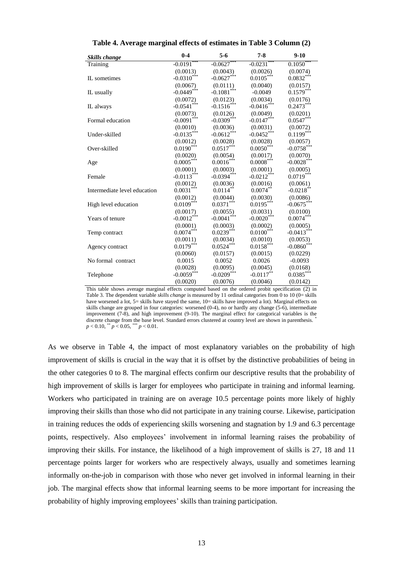| Skills change                | $0 - 4$                  | $5 - 6$                  | $7 - 8$                 | $9-10$        |
|------------------------------|--------------------------|--------------------------|-------------------------|---------------|
| Training                     | $-0.0191$ <sup>***</sup> | $-0.0627$                | $-0.0231$               | 0.1050        |
|                              | (0.0013)                 | (0.0043)                 | (0.0026)                | (0.0074)      |
| IL sometimes                 | $-0.0310$ <sup>***</sup> | $-0.0627$ ***            | $0.0105***$             | $0.0832***$   |
|                              | (0.0067)                 | (0.0111)                 | (0.0040)                | (0.0157)      |
| IL usually                   | $-0.0449***$             | $-0.1081$ ***            | $-0.0049$               | $0.1579***$   |
|                              | (0.0072)                 | (0.0123)                 | (0.0034)                | (0.0176)      |
| IL always                    | $-0.0541$ ***            | $-0.1516$ ***            | $-0.0416$ ***           | $0.2473***$   |
|                              | (0.0073)                 | (0.0126)                 | (0.0049)                | (0.0201)      |
| Formal education             | $-0.0091$ ***            | $-0.0309$ <sup>***</sup> | $-0.0147***$            | $0.0547***$   |
|                              | (0.0010)                 | (0.0036)                 | (0.0031)                | (0.0072)      |
| Under-skilled                | $-0.0135***$             | $-0.0612$ ***            | $-0.0452$ ***           | $0.1199***$   |
|                              | (0.0012)                 | (0.0028)                 | (0.0028)                | (0.0057)      |
| Over-skilled                 | $0.0190***$              | $0.0517***$              | $0.0050***$             | $-0.0758$ *** |
|                              | (0.0020)                 | (0.0054)                 | (0.0017)                | (0.0070)      |
| Age                          | $0.0005***$              | $0.0016***$              | $0.0008***$             | $-0.0028***$  |
|                              | (0.0001)                 | (0.0003)                 | (0.0001)                | (0.0005)      |
| Female                       | $-0.0113***$             | $-0.0394***$             | $-0.0212$ ***           | $0.0719***$   |
|                              | (0.0012)                 | (0.0036)                 | (0.0016)                | (0.0061)      |
| Intermediate level education | $0.0031***$              | $0.0114***$              | $0.0074***$             | $-0.0218$ **  |
|                              | (0.0012)                 | (0.0044)                 | (0.0030)                | (0.0086)      |
| High level education         | $0.0109***$              | $0.0371***$              | $0.0195***$             | $-0.0675***$  |
|                              | (0.0017)                 | (0.0055)                 | (0.0031)                | (0.0100)      |
| Years of tenure              | $-0.0012***$             | $-0.0041$ ***            | $-0.0020$ ***           | $0.0074***$   |
|                              | (0.0001)                 | (0.0003)                 | (0.0002)                | (0.0005)      |
| Temp contract                | $0.0074***$              | $0.0239***$              | $0.0100$ <sup>***</sup> | $-0.0413***$  |
|                              | (0.0011)                 | (0.0034)                 | (0.0010)                | (0.0053)      |
| Agency contract              | $0.0179***$              | $0.0524***$              | $0.0158***$             | $-0.0860$ *** |
|                              | (0.0060)                 | (0.0157)                 | (0.0015)                | (0.0229)      |
| No formal contract           | 0.0015                   | 0.0052                   | 0.0026                  | $-0.0093$     |
|                              | (0.0028)                 | (0.0095)                 | (0.0045)                | (0.0168)      |
| Telephone                    | $-0.0059***$             | $-0.0209***$             | $-0.0117**$             | $0.0385***$   |
|                              | (0.0020)                 | (0.0076)                 | (0.0046)                | (0.0142)      |

**Table 4. Average marginal effects of estimates in Table 3 Column (2)**

This table shows average marginal effects computed based on the ordered probit specification (2) in Table 3. The dependent variable *skills change* is measured by 11 ordinal categories from 0 to 10 (0= skills have worsened a lot, 5= skills have stayed the same, 10= skills have improved a lot). Marginal effects on skills change are grouped in four categories: worsened (0-4), no or hardly any change (5-6), intermediate improvement (7-8), and high improvement (9-10). The marginal effect for categorical variables is the discrete change from the base level. Standard errors clustered at country level are shown in parenthesis. \*  $p < 0.10$ , \*\*  $p < 0.05$ , \*\*\*  $p < 0.01$ .

As we observe in Table 4, the impact of most explanatory variables on the probability of high improvement of skills is crucial in the way that it is offset by the distinctive probabilities of being in the other categories 0 to 8. The marginal effects confirm our descriptive results that the probability of high improvement of skills is larger for employees who participate in training and informal learning. Workers who participated in training are on average 10.5 percentage points more likely of highly improving their skills than those who did not participate in any training course. Likewise, participation in training reduces the odds of experiencing skills worsening and stagnation by 1.9 and 6.3 percentage points, respectively. Also employees' involvement in informal learning raises the probability of improving their skills. For instance, the likelihood of a high improvement of skills is 27, 18 and 11 percentage points larger for workers who are respectively always, usually and sometimes learning informally on-the-job in comparison with those who never get involved in informal learning in their job. The marginal effects show that informal learning seems to be more important for increasing the probability of highly improving employees' skills than training participation.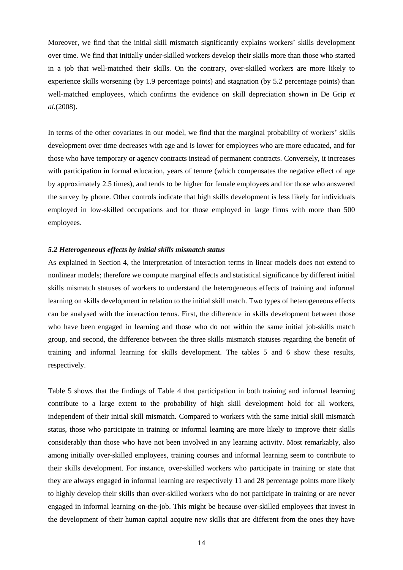Moreover, we find that the initial skill mismatch significantly explains workers' skills development over time. We find that initially under-skilled workers develop their skills more than those who started in a job that well-matched their skills. On the contrary, over-skilled workers are more likely to experience skills worsening (by 1.9 percentage points) and stagnation (by 5.2 percentage points) than well-matched employees, which confirms the evidence on skill depreciation shown in De Grip *et al.*(2008).

In terms of the other covariates in our model, we find that the marginal probability of workers' skills development over time decreases with age and is lower for employees who are more educated, and for those who have temporary or agency contracts instead of permanent contracts. Conversely, it increases with participation in formal education, years of tenure (which compensates the negative effect of age by approximately 2.5 times), and tends to be higher for female employees and for those who answered the survey by phone. Other controls indicate that high skills development is less likely for individuals employed in low-skilled occupations and for those employed in large firms with more than 500 employees.

# *5.2 Heterogeneous effects by initial skills mismatch status*

As explained in Section 4, the interpretation of interaction terms in linear models does not extend to nonlinear models; therefore we compute marginal effects and statistical significance by different initial skills mismatch statuses of workers to understand the heterogeneous effects of training and informal learning on skills development in relation to the initial skill match. Two types of heterogeneous effects can be analysed with the interaction terms. First, the difference in skills development between those who have been engaged in learning and those who do not within the same initial job-skills match group, and second, the difference between the three skills mismatch statuses regarding the benefit of training and informal learning for skills development. The tables 5 and 6 show these results, respectively.

Table 5 shows that the findings of Table 4 that participation in both training and informal learning contribute to a large extent to the probability of high skill development hold for all workers, independent of their initial skill mismatch. Compared to workers with the same initial skill mismatch status, those who participate in training or informal learning are more likely to improve their skills considerably than those who have not been involved in any learning activity. Most remarkably, also among initially over-skilled employees, training courses and informal learning seem to contribute to their skills development. For instance, over-skilled workers who participate in training or state that they are always engaged in informal learning are respectively 11 and 28 percentage points more likely to highly develop their skills than over-skilled workers who do not participate in training or are never engaged in informal learning on-the-job. This might be because over-skilled employees that invest in the development of their human capital acquire new skills that are different from the ones they have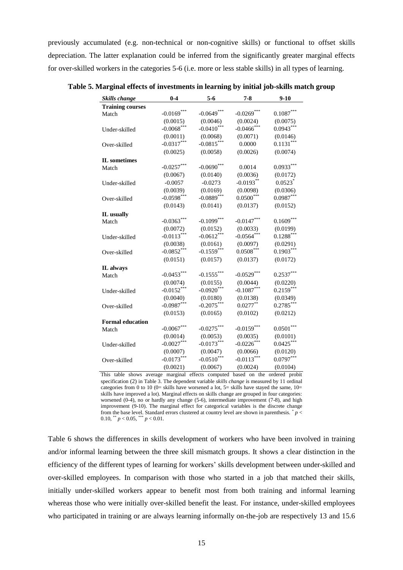previously accumulated (e.g. non-technical or non-cognitive skills) or functional to offset skills depreciation. The latter explanation could be inferred from the significantly greater marginal effects for over-skilled workers in the categories 5-6 (i.e. more or less stable skills) in all types of learning.

| <b>Skills change</b>    | $0 - 4$       | $5 - 6$       | $7 - 8$       | $9 - 10$              |
|-------------------------|---------------|---------------|---------------|-----------------------|
| <b>Training courses</b> |               |               |               |                       |
| Match                   | $-0.0169***$  | $-0.0649***$  | $-0.0269***$  | $0.1087***$           |
|                         | (0.0015)      | (0.0046)      | (0.0024)      | (0.0075)              |
| Under-skilled           | $-0.0068$ *** | $-0.0410$ *** | $-0.0466$ *** | $0.0943***$           |
|                         | (0.0011)      | (0.0068)      | (0.0071)      | (0.0146)              |
| Over-skilled            | $-0.0317***$  | $-0.0815***$  | 0.0000        | $0.1131***$           |
|                         | (0.0025)      | (0.0058)      | (0.0026)      | (0.0074)              |
| <b>IL</b> sometimes     |               |               |               |                       |
| Match                   | $-0.0257***$  | $-0.0690$ *** | 0.0014        | $0.0933***$           |
|                         | (0.0067)      | (0.0140)      | (0.0036)      | (0.0172)              |
| Under-skilled           | $-0.0057$     | $-0.0273$     | $-0.0193**$   | $0.0523$ <sup>*</sup> |
|                         | (0.0039)      | (0.0169)      | (0.0098)      | (0.0306)              |
| Over-skilled            | $-0.0598***$  | $-0.0889***$  | $0.0500***$   | $0.0987***$           |
|                         | (0.0143)      | (0.0141)      | (0.0137)      | (0.0152)              |
| IL usually              |               |               |               |                       |
| Match                   | $-0.0363***$  | $-0.1099***$  | $-0.0147***$  | $0.1609***$           |
|                         | (0.0072)      | (0.0152)      | (0.0033)      | (0.0199)              |
| Under-skilled           | $-0.0113***$  | $-0.0612***$  | $-0.0564***$  | $0.1288***$           |
|                         | (0.0038)      | (0.0161)      | (0.0097)      | (0.0291)              |
| Over-skilled            | $-0.0852***$  | $-0.1559***$  | $0.0508***$   | $0.1903***$           |
|                         | (0.0151)      | (0.0157)      | (0.0137)      | (0.0172)              |
| IL always               |               |               |               |                       |
| Match                   | $-0.0453***$  | $-0.1555***$  | $-0.0529***$  | $0.2537***$           |
|                         | (0.0074)      | (0.0155)      | (0.0044)      | (0.0220)              |
| Under-skilled           | $-0.0152***$  | $-0.0920$ *** | $-0.1087***$  | $0.2159***$           |
|                         | (0.0040)      | (0.0180)      | (0.0138)      | (0.0349)              |
| Over-skilled            | $-0.0987***$  | $-0.2075***$  | $0.0277***$   | $0.2785***$           |
|                         | (0.0153)      | (0.0165)      | (0.0102)      | (0.0212)              |
| <b>Formal education</b> |               |               |               |                       |
| Match                   | $-0.0067***$  | $-0.0275***$  | $-0.0159***$  | $0.0501***$           |
|                         | (0.0014)      | (0.0053)      | (0.0035)      | (0.0101)              |
| Under-skilled           | $-0.0027***$  | $-0.0173***$  | $-0.0226$ *** | $0.0425***$           |
|                         | (0.0007)      | (0.0047)      | (0.0066)      | (0.0120)              |
| Over-skilled            | $-0.0173***$  | $-0.0510***$  | $-0.0113***$  | $0.0797***$           |
|                         | (0.0021)      | (0.0067)      | (0.0024)      | (0.0104)              |

**Table 5. Marginal effects of investments in learning by initial job-skills match group** 

This table shows average marginal effects computed based on the ordered probit specification (2) in Table 3. The dependent variable *skills change* is measured by 11 ordinal categories from 0 to 10 (0= skills have worsened a lot,  $5=$  skills have stayed the same,  $10=$ skills have improved a lot). Marginal effects on skills change are grouped in four categories: worsened (0-4), no or hardly any change (5-6), intermediate improvement (7-8), and high improvement (9-10). The marginal effect for categorical variables is the discrete change from the base level. Standard errors clustered at country level are shown in parenthesis.  $\bar{p}$  < 0.10, \*\*  $p < 0.05$ , \*\*\*  $p < 0.01$ .

Table 6 shows the differences in skills development of workers who have been involved in training and/or informal learning between the three skill mismatch groups. It shows a clear distinction in the efficiency of the different types of learning for workers' skills development between under-skilled and over-skilled employees. In comparison with those who started in a job that matched their skills, initially under-skilled workers appear to benefit most from both training and informal learning whereas those who were initially over-skilled benefit the least. For instance, under-skilled employees who participated in training or are always learning informally on-the-job are respectively 13 and 15.6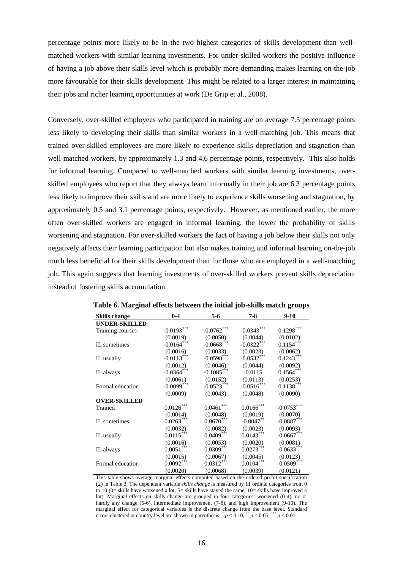percentage points more likely to be in the two highest categories of skills development than wellmatched workers with similar learning investments. For under-skilled workers the positive influence of having a job above their skills level which is probably more demanding makes learning on-the-job more favourable for their skills development. This might be related to a larger interest in maintaining their jobs and richer learning opportunities at work (De Grip et al., 2008).

Conversely, over-skilled employees who participated in training are on average 7.5 percentage points less likely to developing their skills than similar workers in a well-matching job. This means that trained over-skilled employees are more likely to experience skills depreciation and stagnation than well-matched workers, by approximately 1.3 and 4.6 percentage points, respectively. This also holds for informal learning. Compared to well-matched workers with similar learning investments, overskilled employees who report that they always learn informally in their job are 6.3 percentage points less likely to improve their skills and are more likely to experience skills worsening and stagnation, by approximately 0.5 and 3.1 percentage points, respectively. However, as mentioned earlier, the more often over-skilled workers are engaged in informal learning, the lower the probability of skills worsening and stagnation. For over-skilled workers the fact of having a job below their skills not only negatively affects their learning participation but also makes training and informal learning on-the-job much less beneficial for their skills development than for those who are employed in a well-matching job. This again suggests that learning investments of over-skilled workers prevent skills depreciation instead of fostering skills accumulation.

| <b>Skills change</b> | $0-4$                   | $5 - 6$       | $7 - 8$      | $9-10$       |
|----------------------|-------------------------|---------------|--------------|--------------|
| <b>UNDER-SKILLED</b> |                         |               |              |              |
| Training courses     | $-0.0193***$            | $-0.0762***$  | $-0.0343***$ | $0.1298***$  |
|                      | (0.0019)                | (0.0050)      | (0.0044)     | (0.0102)     |
| IL sometimes         | $-0.0164$ ***           | $-0.0668$ *** | $-0.0322***$ | $0.1154***$  |
|                      | (0.0016)                | (0.0033)      | (0.0023)     | (0.0062)     |
| IL usually           | $-0.0113***$            | $-0.0598***$  | $-0.0532***$ | $0.1243***$  |
|                      | (0.0012)                | (0.0046)      | (0.0044)     | (0.0092)     |
| IL always            | $-0.0364***$            | $-0.1085***$  | $-0.0115$    | $0.1564***$  |
|                      | (0.0061)                | (0.0152)      | (0.0113)     | (0.0253)     |
| Formal education     | $-0.0099***$            | $-0.0523***$  | $-0.0516***$ | $0.1138***$  |
|                      | (0.0009)                | (0.0043)      | (0.0048)     | (0.0090)     |
| <b>OVER-SKILLED</b>  |                         |               |              |              |
| Trained              | $0.0126^{\ast\ast\ast}$ | $0.0461***$   | $0.0166***$  | $-0.0753***$ |
|                      | (0.0014)                | (0.0048)      | (0.0019)     | (0.0070)     |
| IL sometimes         | $0.0263***$             | $0.0670***$   | $-0.0047**$  | $-0.0887***$ |
|                      | (0.0032)                | (0.0082)      | (0.0023)     | (0.0093)     |
| IL usually           | $0.0115***$             | $0.0409***$   | $0.0143***$  | $-0.0667***$ |
|                      | (0.0016)                | (0.0053)      | (0.0020)     | (0.0081)     |
| IL always            | $0.0051***$             | $0.0309***$   | $0.0273***$  | $-0.0633***$ |
|                      | (0.0015)                | (0.0067)      | (0.0045)     | (0.0123)     |
| Formal education     | $0.0092***$             | $0.0312***$   | $0.0104***$  | $-0.0509***$ |
|                      | (0.0020)                | (0.0068)      | (0.0039)     | (0.0121)     |

**Table 6. Marginal effects between the initial job-skills match groups**

This table shows average marginal effects computed based on the ordered probit specification (2) in Table 3. The dependent variable *skills change* is measured by 11 ordinal categories from 0 to 10 (0= skills have worsened a lot,  $5=$  skills have stayed the same,  $10=$  skills have improved a lot). Marginal effects on skills change are grouped in four categories: worsened (0-4), no or hardly any change (5-6), intermediate improvement (7-8), and high improvement (9-10). The marginal effect for categorical variables is the discrete change from the base level. Standard errors clustered at country level are shown in parenthesis.  $p < 0.10$ ,  $p < 0.05$ ,  $p < 0.01$ .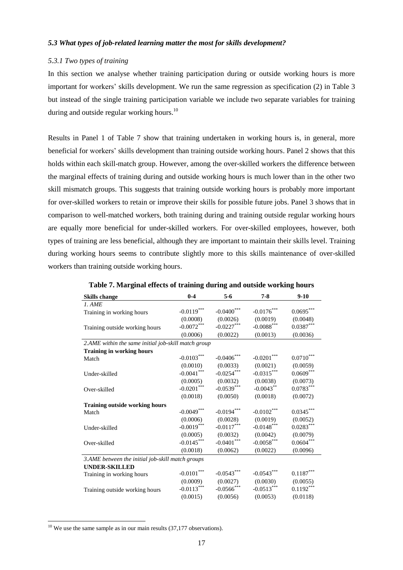# *5.3 What types of job-related learning matter the most for skills development?*

#### *5.3.1 Two types of training*

In this section we analyse whether training participation during or outside working hours is more important for workers' skills development. We run the same regression as specification (2) in Table 3 but instead of the single training participation variable we include two separate variables for training during and outside regular working hours.<sup>10</sup>

Results in Panel 1 of Table 7 show that training undertaken in working hours is, in general, more beneficial for workers' skills development than training outside working hours. Panel 2 shows that this holds within each skill-match group. However, among the over-skilled workers the difference between the marginal effects of training during and outside working hours is much lower than in the other two skill mismatch groups. This suggests that training outside working hours is probably more important for over-skilled workers to retain or improve their skills for possible future jobs. Panel 3 shows that in comparison to well-matched workers, both training during and training outside regular working hours are equally more beneficial for under-skilled workers. For over-skilled employees, however, both types of training are less beneficial, although they are important to maintain their skills level. Training during working hours seems to contribute slightly more to this skills maintenance of over-skilled workers than training outside working hours.

| <b>Skills change</b>                                | $0 - 4$       | $5-6$             | $7-8$             | $9-10$                  |  |  |  |  |
|-----------------------------------------------------|---------------|-------------------|-------------------|-------------------------|--|--|--|--|
| 1. AME                                              |               |                   |                   |                         |  |  |  |  |
| Training in working hours                           | $-0.0119***$  | $-0.0400^{***}\,$ | $-0.0176***$      | $0.0695^{\ast\ast\ast}$ |  |  |  |  |
|                                                     | (0.0008)      | (0.0026)          | (0.0019)          | (0.0048)                |  |  |  |  |
| Training outside working hours                      | $-0.0072***$  | $-0.0227***$      | $-0.0088^{***}\,$ | $0.0387***$             |  |  |  |  |
|                                                     | (0.0006)      | (0.0022)          | (0.0013)          | (0.0036)                |  |  |  |  |
| 2.AME within the same initial job-skill match group |               |                   |                   |                         |  |  |  |  |
| <b>Training in working hours</b>                    |               |                   |                   |                         |  |  |  |  |
| Match                                               | $-0.0103***$  | $-0.0406^{***}\,$ | $-0.0201$ ***     | $0.0710^\mathrm{***}$   |  |  |  |  |
|                                                     | (0.0010)      | (0.0033)          | (0.0021)          | (0.0059)                |  |  |  |  |
| Under-skilled                                       | $-0.0041***$  | $-0.0254***$      | $-0.0315***$      | $0.0609***$             |  |  |  |  |
|                                                     | (0.0005)      | (0.0032)          | (0.0038)          | (0.0073)                |  |  |  |  |
| Over-skilled                                        | $-0.0201***$  | $-0.0539***$      | $-0.0043$ **      | $0.0783***$             |  |  |  |  |
|                                                     | (0.0018)      | (0.0050)          | (0.0018)          | (0.0072)                |  |  |  |  |
| <b>Training outside working hours</b>               |               |                   |                   |                         |  |  |  |  |
| Match                                               | $-0.0049$ *** | $-0.0194***$      | $-0.0102***$      | $0.0345***$             |  |  |  |  |
|                                                     | (0.0006)      | (0.0028)          | (0.0019)          | (0.0052)                |  |  |  |  |
| Under-skilled                                       | $-0.0019***$  | $-0.0117***$      | $-0.0148***$      | $0.0283***$             |  |  |  |  |
|                                                     | (0.0005)      | (0.0032)          | (0.0042)          | (0.0079)                |  |  |  |  |
| Over-skilled                                        | $-0.0145***$  | $-0.0401^{***}\,$ | $-0.0058***$      | $0.0604***$             |  |  |  |  |
|                                                     | (0.0018)      | (0.0062)          | (0.0022)          | (0.0096)                |  |  |  |  |
| 3.AME between the initial job-skill match groups    |               |                   |                   |                         |  |  |  |  |
| <b>UNDER-SKILLED</b>                                |               |                   |                   |                         |  |  |  |  |
| Training in working hours                           | $-0.0101***$  | $-0.0543***$      | $-0.0543***$      | $0.1187^{\ast\ast\ast}$ |  |  |  |  |
|                                                     | (0.0009)      | (0.0027)          | (0.0030)          | (0.0055)                |  |  |  |  |
| Training outside working hours                      | $-0.0113***$  | $-0.0566^{***}\,$ | $-0.0513***$      | $0.1192***$             |  |  |  |  |
|                                                     | (0.0015)      | (0.0056)          | (0.0053)          | (0.0118)                |  |  |  |  |

**Table 7. Marginal effects of training during and outside working hours**

 $\overline{a}$ 

 $10$  We use the same sample as in our main results (37,177 observations).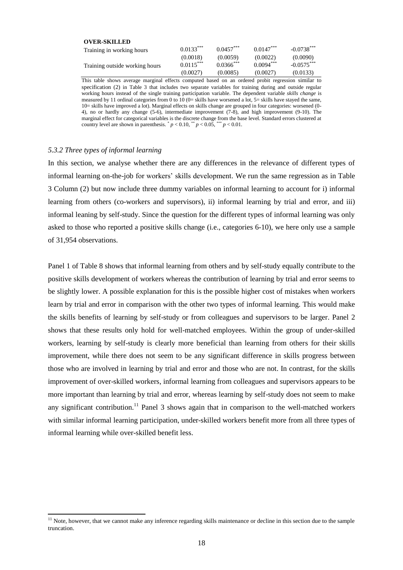| $0.0133***$ | $0.0457***$  | $0.0147***$ | $-0.0738***$ |
|-------------|--------------|-------------|--------------|
| (0.0018)    | (0.0059)     | (0.0022)    | (0.0090)     |
| $0.0115***$ | $0.0366$ *** | $0.0094***$ | $-0.0575***$ |
| (0.0027)    | (0.0085)     | (0.0027)    | (0.0133)     |
|             |              |             |              |

This table shows average marginal effects computed based on an ordered probit regression similar to specification (2) in Table 3 that includes two separate variables for training during and outside regular working hours instead of the single training participation variable. The dependent variable *skills change* is measured by 11 ordinal categories from 0 to 10 (0= skills have worsened a lot, 5= skills have stayed the same, 10= skills have improved a lot). Marginal effects on skills change are grouped in four categories: worsened (0- 4), no or hardly any change (5-6), intermediate improvement (7-8), and high improvement (9-10). The marginal effect for categorical variables is the discrete change from the base level. Standard errors clustered at country level are shown in parenthesis.  $p < 0.10$ ,  $p < 0.05$ ,  $p < 0.01$ .

### *5.3.2 Three types of informal learning*

l

In this section, we analyse whether there are any differences in the relevance of different types of informal learning on-the-job for workers' skills development. We run the same regression as in Table 3 Column (2) but now include three dummy variables on informal learning to account for i) informal learning from others (co-workers and supervisors), ii) informal learning by trial and error, and iii) informal leaning by self-study. Since the question for the different types of informal learning was only asked to those who reported a positive skills change (i.e., categories 6-10), we here only use a sample of 31,954 observations.

Panel 1 of Table 8 shows that informal learning from others and by self-study equally contribute to the positive skills development of workers whereas the contribution of learning by trial and error seems to be slightly lower. A possible explanation for this is the possible higher cost of mistakes when workers learn by trial and error in comparison with the other two types of informal learning. This would make the skills benefits of learning by self-study or from colleagues and supervisors to be larger. Panel 2 shows that these results only hold for well-matched employees. Within the group of under-skilled workers, learning by self-study is clearly more beneficial than learning from others for their skills improvement, while there does not seem to be any significant difference in skills progress between those who are involved in learning by trial and error and those who are not. In contrast, for the skills improvement of over-skilled workers, informal learning from colleagues and supervisors appears to be more important than learning by trial and error, whereas learning by self-study does not seem to make any significant contribution.<sup>11</sup> Panel 3 shows again that in comparison to the well-matched workers with similar informal learning participation, under-skilled workers benefit more from all three types of informal learning while over-skilled benefit less.

 $11$  Note, however, that we cannot make any inference regarding skills maintenance or decline in this section due to the sample truncation.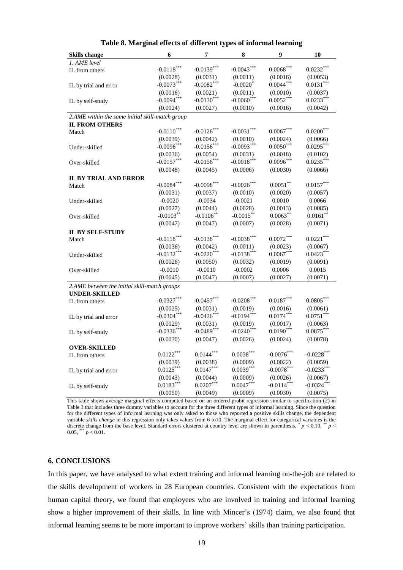| <b>Skills change</b>                            | 6             | 7             | 8                      | 9                       | 10                      |
|-------------------------------------------------|---------------|---------------|------------------------|-------------------------|-------------------------|
| 1. AME level                                    |               |               |                        |                         |                         |
| IL from others                                  | $-0.0118***$  | $-0.0139***$  | $-0.0043***$           | $0.0068^{***}\,$        | $0.0232***$             |
|                                                 | (0.0028)      | (0.0031)      | (0.0011)               | (0.0016)                | (0.0053)                |
| IL by trial and error                           | $-0.0073***$  | $-0.0082***$  | $-0.0020$ <sup>*</sup> | $0.0044***$             | $0.0131***$             |
|                                                 | (0.0016)      | (0.0021)      | (0.0011)               | (0.0010)                | (0.0037)                |
| IL by self-study                                | $-0.0094***$  | $-0.0130***$  | $-0.0060$ ***          | $0.0052***$             | $0.0233***$             |
|                                                 | (0.0024)      | (0.0027)      | (0.0010)               | (0.0016)                | (0.0042)                |
| 2.AME within the same initial skill-match group |               |               |                        |                         |                         |
| <b>IL FROM OTHERS</b>                           |               |               |                        |                         |                         |
| Match                                           | $-0.0110$ *** | $-0.0126$ *** | $-0.0031***$           | $0.0067***$             | $0.0200***$             |
|                                                 | (0.0039)      | (0.0042)      | (0.0010)               | (0.0024)                | (0.0066)                |
| Under-skilled                                   | $-0.0096***$  | $-0.0156***$  | $-0.0093***$           | $0.0050***$             | $0.0295***$             |
|                                                 | (0.0036)      | (0.0054)      | (0.0031)               | (0.0018)                | (0.0102)                |
| Over-skilled                                    | $-0.0157***$  | $-0.0156$ *** | $-0.0018***$           | $0.0096***$             | $0.0235***$             |
|                                                 | (0.0048)      | (0.0045)      | (0.0006)               | (0.0030)                | (0.0066)                |
| <b>IL BY TRIAL AND ERROR</b>                    |               |               |                        |                         |                         |
| Match                                           | $-0.0084***$  | $-0.0098***$  | $-0.0026$ ***          | $0.0051***$             | $0.0157^{\ast\ast\ast}$ |
|                                                 | (0.0031)      | (0.0037)      | (0.0010)               | (0.0020)                | (0.0057)                |
| Under-skilled                                   | $-0.0020$     | $-0.0034$     | $-0.0021$              | 0.0010                  | 0.0066                  |
|                                                 | (0.0027)      | (0.0044)      | (0.0028)               | (0.0013)                | (0.0085)                |
| Over-skilled                                    | $-0.0103***$  | $-0.0106$ **  | $-0.0015***$           | $0.0063***$             | $0.0161***$             |
|                                                 | (0.0047)      | (0.0047)      | (0.0007)               | (0.0028)                | (0.0071)                |
| <b>IL BY SELF-STUDY</b>                         |               |               |                        |                         |                         |
| Match                                           | $-0.0118***$  | $-0.0138***$  | $-0.0038***$           | $0.0072***$             | $0.0221***$             |
|                                                 | (0.0036)      | (0.0042)      | (0.0011)               | (0.0023)                | (0.0067)                |
| Under-skilled                                   | $-0.0132***$  | $-0.0220***$  | $-0.0138***$           | $0.0067***$             | $0.0423***$             |
|                                                 | (0.0026)      | (0.0050)      | (0.0032)               | (0.0019)                | (0.0091)                |
| Over-skilled                                    | $-0.0010$     | $-0.0010$     | $-0.0002$              | 0.0006                  | 0.0015                  |
|                                                 | (0.0045)      | (0.0047)      | (0.0007)               | (0.0027)                | (0.0071)                |
| 2.AME between the initial skill-match groups    |               |               |                        |                         |                         |
| <b>UNDER-SKILLED</b>                            |               |               |                        |                         |                         |
| IL from others                                  | $-0.0327***$  | $-0.0457***$  | $-0.0208***$           | $0.0187^{\ast\ast\ast}$ | $0.0805***$             |
|                                                 | (0.0025)      | (0.0031)      | (0.0019)               | (0.0016)                | (0.0061)                |
| IL by trial and error                           | $-0.0304***$  | $-0.0426$ *** | $-0.0194***$           | $0.0174***$             | $0.0751***$             |
|                                                 | (0.0029)      | (0.0031)      | (0.0019)               | (0.0017)                | (0.0063)                |
| IL by self-study                                | $-0.0336***$  | $-0.0489***$  | $-0.0240***$           | $0.0190***$             | $0.0875***$             |
|                                                 | (0.0030)      | (0.0047)      | (0.0026)               | (0.0024)                | (0.0078)                |
| <b>OVER-SKILLED</b>                             |               |               |                        |                         |                         |
| IL from others                                  | $0.0122***$   | $0.0144***$   | $0.0038***$            | $-0.0076***$            | $-0.0228***$            |
|                                                 | (0.0039)      | (0.0038)      | (0.0009)               | (0.0022)                | (0.0059)                |
| IL by trial and error                           | $0.0125***$   | $0.0147***$   | $0.0039***$            | $-0.0078***$            | $-0.0233***$            |
|                                                 | (0.0043)      | (0.0044)      | (0.0009)               | (0.0026)                | (0.0067)                |
| IL by self-study                                | $0.0183***$   | $0.0207***$   | $0.0047***$            | $-0.0114***$            | $-0.0324***$            |
|                                                 | (0.0050)      | (0.0049)      | (0.0009)               | (0.0030)                | (0.0075)                |

|  |  | Table 8. Marginal effects of different types of informal learning |  |
|--|--|-------------------------------------------------------------------|--|
|  |  |                                                                   |  |

This table shows average marginal effects computed based on an ordered probit regression similar to specification (2) in Table 3 that includes three dummy variables to account for the three different types of informal learning. Since the question for the different types of informal learning was only asked to those who reported a positive skills change, the dependent variable *skills change* in this regression only takes values from 6 to10. The marginal effect for categorical variables is the discrete change from the base level. Standard errors clustered at country level are shown in parenthesis.  $p < 0.10$ ,  $p <$ 0.05, \*\*\*  $p < 0.01$ .

### **6. CONCLUSIONS**

In this paper, we have analysed to what extent training and informal learning on-the-job are related to the skills development of workers in 28 European countries. Consistent with the expectations from human capital theory, we found that employees who are involved in training and informal learning show a higher improvement of their skills. In line with Mincer's (1974) claim, we also found that informal learning seems to be more important to improve workers' skills than training participation.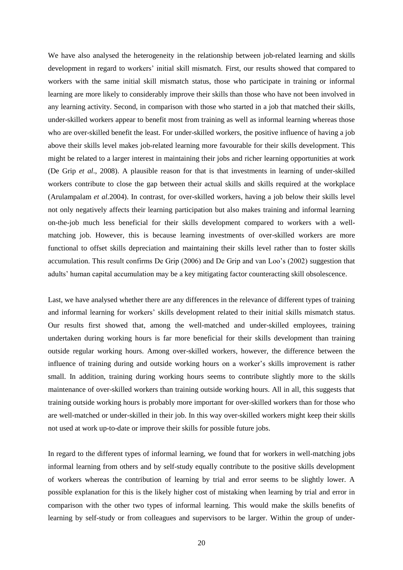We have also analysed the heterogeneity in the relationship between job-related learning and skills development in regard to workers' initial skill mismatch. First, our results showed that compared to workers with the same initial skill mismatch status, those who participate in training or informal learning are more likely to considerably improve their skills than those who have not been involved in any learning activity. Second, in comparison with those who started in a job that matched their skills, under-skilled workers appear to benefit most from training as well as informal learning whereas those who are over-skilled benefit the least. For under-skilled workers, the positive influence of having a job above their skills level makes job-related learning more favourable for their skills development. This might be related to a larger interest in maintaining their jobs and richer learning opportunities at work (De Grip *et al*., 2008). A plausible reason for that is that investments in learning of under-skilled workers contribute to close the gap between their actual skills and skills required at the workplace (Arulampalam *et al.*2004). In contrast, for over-skilled workers, having a job below their skills level not only negatively affects their learning participation but also makes training and informal learning on-the-job much less beneficial for their skills development compared to workers with a wellmatching job. However, this is because learning investments of over-skilled workers are more functional to offset skills depreciation and maintaining their skills level rather than to foster skills accumulation. This result confirms De Grip (2006) and De Grip and van Loo's (2002) suggestion that adults' human capital accumulation may be a key mitigating factor counteracting skill obsolescence.

Last, we have analysed whether there are any differences in the relevance of different types of training and informal learning for workers' skills development related to their initial skills mismatch status. Our results first showed that, among the well-matched and under-skilled employees, training undertaken during working hours is far more beneficial for their skills development than training outside regular working hours. Among over-skilled workers, however, the difference between the influence of training during and outside working hours on a worker's skills improvement is rather small. In addition, training during working hours seems to contribute slightly more to the skills maintenance of over-skilled workers than training outside working hours. All in all, this suggests that training outside working hours is probably more important for over-skilled workers than for those who are well-matched or under-skilled in their job. In this way over-skilled workers might keep their skills not used at work up-to-date or improve their skills for possible future jobs.

In regard to the different types of informal learning, we found that for workers in well-matching jobs informal learning from others and by self-study equally contribute to the positive skills development of workers whereas the contribution of learning by trial and error seems to be slightly lower. A possible explanation for this is the likely higher cost of mistaking when learning by trial and error in comparison with the other two types of informal learning. This would make the skills benefits of learning by self-study or from colleagues and supervisors to be larger. Within the group of under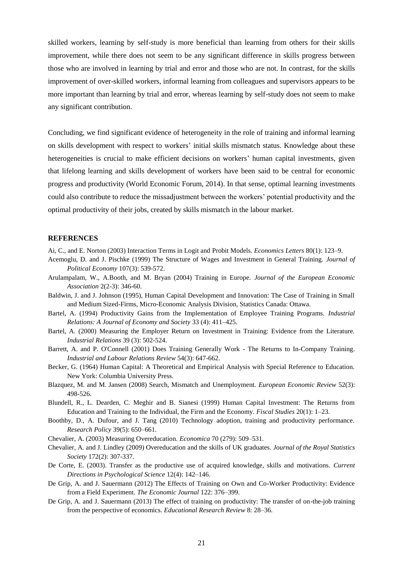skilled workers, learning by self-study is more beneficial than learning from others for their skills improvement, while there does not seem to be any significant difference in skills progress between those who are involved in learning by trial and error and those who are not. In contrast, for the skills improvement of over-skilled workers, informal learning from colleagues and supervisors appears to be more important than learning by trial and error, whereas learning by self-study does not seem to make any significant contribution.

Concluding, we find significant evidence of heterogeneity in the role of training and informal learning on skills development with respect to workers' initial skills mismatch status. Knowledge about these heterogeneities is crucial to make efficient decisions on workers' human capital investments, given that lifelong learning and skills development of workers have been said to be central for economic progress and productivity (World Economic Forum, 2014). In that sense, optimal learning investments could also contribute to reduce the missadjustment between the workers' potential productivity and the optimal productivity of their jobs, created by skills mismatch in the labour market.

### **REFERENCES**

- Ai, C., and E. Norton (2003) Interaction Terms in Logit and Probit Models. *Economics Letters* 80(1): 123–9.
- Acemoglu, D. and J. Pischke (1999) The Structure of Wages and Investment in General Training. *[Journal of](http://www.jstor.org/action/showPublication?journalCode=jpoliecon)  [Political Economy](http://www.jstor.org/action/showPublication?journalCode=jpoliecon)* 107(3): 539-572.
- Arulampalam, W., A.Booth, and M. Bryan (2004) Training in Europe. *Journal of the European Economic Association* 2(2-3): 346-60.
- Baldwin, J. and J. Johnson (1995), Human Capital Development and Innovation: The Case of Training in Small and Medium Sized-Firms, Micro-Economic Analysis Division, Statistics Canada: Ottawa.
- Bartel, A. (1994) Productivity Gains from the Implementation of Employee Training Programs. *Industrial Relations: A Journal of Economy and Society* 33 (4): 411–425.
- Bartel, A. (2000) Measuring the Employer Return on Investment in Training: Evidence from the Literature. *Industrial Relations* 39 (3): 502-524.
- Barrett, A. and P. O'Connell (2001) Does Training Generally Work The Returns to In-Company Training. *Industrial and Labour Relations Review* 54(3): 647-662.
- Becker, G. (1964) Human Capital: A Theoretical and Empirical Analysis with Special Reference to Education. New York: Columbia University Press.
- Blazquez, M. and M. Jansen (2008) Search, Mismatch and Unemployment. *European Economic Review* 52(3): 498-526.
- Blundell, R., L. Dearden, C. Meghir and B. Sianesi (1999) Human Capital Investment: The Returns from Education and Training to the Individual, the Firm and the Economy. *Fiscal Studies* 20(1): 1–23.
- Boothby, D., A. Dufour, and J. Tang (2010) Technology adoption, training and productivity performance. *Research Policy* 39(5): 650–661.
- Chevalier, A. (2003) Measuring Overeducation. *Economica* 70 (279): 509–531.
- Chevalier, A. and J. Lindley (2009) Overeducation and the skills of UK graduates. *Journal of the Royal Statistics Society* 172(2): 307-337.
- De Corte, E. (2003). Transfer as the productive use of acquired knowledge, skills and motivations. *Current Directions in Psychological Science* 12(4): 142–146.
- De Grip, A. and J. Sauermann (2012) The Effects of Training on Own and Co-Worker Productivity: Evidence from a Field Experiment. *The Economic Journal* 122: 376–399.
- De Grip, A. and J. Sauermann (2013) The effect of training on productivity: The transfer of on-the-job training from the perspective of economics. *Educational Research Review* 8: 28–36.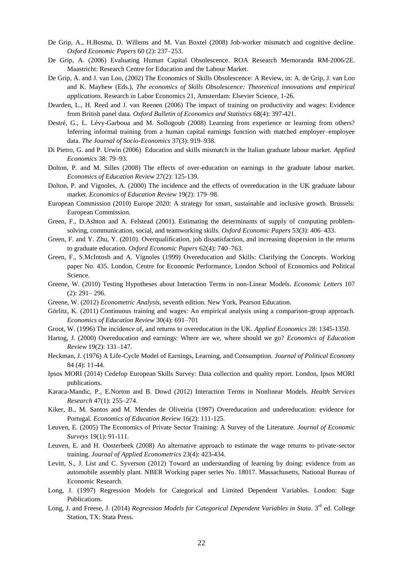- De Grip, A., H.Bosma, D. Willems and M. Van Boxtel (2008) Job-worker mismatch and cognitive decline. *Oxford Economic Papers* 60 (2): 237–253.
- De Grip, A. (2006) Evaluating Human Capital Obsolescence. ROA Research Memoranda RM-2006/2E. Maastricht: Research Centre for Education and the Labour Market.
- De Grip, A. and J. van Loo, (2002) The Economics of Skills Obsolescence: A Review, in: A. de Grip, J. van Loo and K. Mayhew (Eds.), *The economics of Skills Obsolescence: Theoretical innovations and empirical applications*. Research in Labor Economics 21, Amsterdam: Elsevier Science, 1-26.
- Dearden, L., H. Reed and J. van Reenen (2006) The impact of training on productivity and wages: Evidence from British panel data. *Oxford Bulletin of Economics and Statistics* 68(4): 397-421.
- Destré, G., L. Lévy-Garboua and M. Sollogoub (2008) Learning from experience or learning from others? Inferring informal training from a human capital earnings function with matched employer–employee data. *The Journal of Socio-Economics* 37(3): 919–938.
- Di Pietro, G. and P. Urwin (2006) Education and skills mismatch in the Italian graduate labour market. *Applied Economics* 38: 79–93.
- Dolton, P. and M. Silles (2008) The effects of over-education on earnings in the graduate labour market. *Economics of Education Review* 27(2): 125-139.
- Dolton, P. and Vignoles, A. (2000) The incidence and the effects of overeducation in the UK graduate labour market. *Economics of Education Review* 19(2): 179–98.
- European Commission (2010) Europe 2020: A strategy for smart, sustainable and inclusive growth. Brussels: European Commission.
- Green, F., D.Ashton and A. Felstead (2001). Estimating the determinants of supply of computing problemsolving, communication, social, and teamworking skills. *Oxford Economic Papers* 53(3): 406–433.
- Green, F. and Y. Zhu, Y. (2010). Overqualification, job dissatisfaction, and increasing dispersion in the returns to graduate education. *Oxford Economic Papers* 62(4): 740–763.
- Green, F., S.McIntosh and A. Vignoles (1999) Overeducation and Skills: Clarifying the Concepts. Working paper No. 435. London, Centre for Economic Performance, London School of Economics and Political Science.
- Greene, W. (2010) Testing Hypotheses about Interaction Terms in non‐Linear Models. *Economic Letters* 107 (2): 291– 296.
- Greene, W. (2012) *Econometric Analysis*, seventh edition. New York, Pearson Education.
- Görlitz, K. (2011) Continuous training and wages: An empirical analysis using a comparison-group approach. *Economics of Education Review* 30(4): 691–701
- Groot, W. (1996) The incidence of, and returns to overeducation in the UK. *Applied Economics* 28: 1345-1350.
- Hartog, J. (2000) Overeducation and earnings: Where are we, where should we go? *Economics of Education Review* 19(2): 131–147.
- Heckman, J. (1976) A Life-Cycle Model of Earnings, Learning, and Consumption. *Journal of Political Economy* 84 (4): 11-44.
- Ipsos MORI (2014) Cedefop European Skills Survey: Data collection and quality report. London, Ipsos MORI publications.
- Karaca-Mandic, P., E.Norton and B. Dowd (2012) Interaction Terms in Nonlinear Models. *Health Services Research* 47(1): 255–274.
- Kiker, B., M. Santos and M. Mendes de Oliveiria (1997) Overeducation and undereducation: evidence for Portugal. *Economics of Education Review* 16(2): 111-125.
- Leuven, E. (2005) The Economics of Private Sector Training: A Survey of the Literature. *Journal of Economic Surveys* 19(1): 91-111.
- Leuven, E. and H. Oosterbeek (2008) An alternative approach to estimate the wage returns to private-sector training. *Journal of Applied Econometrics* 23(4): 423-434.
- Levitt, S., J. List and C. Syverson (2012) Toward an understanding of learning by doing: evidence from an automobile assembly plant. NBER Working paper series No. 18017. Massachusetts, National Bureau of Economic Research.
- Long, J. (1997) Regression Models for Categorical and Limited Dependent Variables. London: Sage Publications.
- Long, J. and Freese, J. (2014) *Regression Models for Categorical Dependent Variables in Stata*. 3<sup>rd</sup> ed. College Station, TX: Stata Press.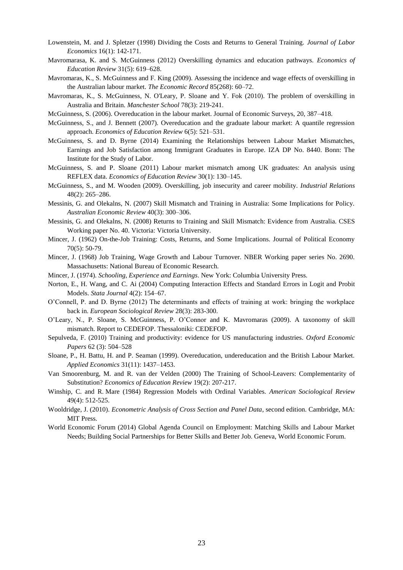- Lowenstein, M. and J. Spletzer (1998) Dividing the Costs and Returns to General Training. *Journal of Labor Economics* 16(1): 142-171.
- Mavromarasa, K. and S. McGuinness (2012) Overskilling dynamics and education pathways. *[Economics of](http://www.sciencedirect.com/science/journal/02727757)  [Education Review](http://www.sciencedirect.com/science/journal/02727757)* 31(5): 619–628.
- Mavromaras, K., S. McGuinness and F. King (2009). Assessing the incidence and wage effects of overskilling in the Australian labour market. *The Economic Record* 85(268): 60–72.
- Mavromaras, K., S. McGuinness, N. O'Leary, P. Sloane and Y. Fok (2010). The problem of overskilling in Australia and Britain. *Manchester School* 78(3): 219-241.
- McGuinness, S. (2006). Overeducation in the labour market. Journal of Economic Surveys, 20, 387–418.
- McGuinness, S., and J. Bennett (2007). Overeducation and the graduate labour market: A quantile regression approach. *Economics of Education Review* 6(5): 521–531.
- McGuinness, S. and D. Byrne (2014) Examining the Relationships between Labour Market Mismatches, Earnings and Job Satisfaction among Immigrant Graduates in Europe. IZA DP No. 8440. Bonn: The Institute for the Study of Labor.
- McGuinness, S. and P. Sloane (2011) Labour market mismatch among UK graduates: An analysis using REFLEX data. *Economics of Education Review* 30(1): 130–145.
- McGuinness, S., and M. Wooden (2009). Overskilling, job insecurity and career mobility. *Industrial Relations* 48(2): 265–286.
- Messinis, G. and Olekalns, N. (2007) Skill Mismatch and Training in Australia: Some Implications for Policy. *Australian Economic Review* 40(3): 300–306.
- Messinis, G. and Olekalns, N. (2008) Returns to Training and Skill Mismatch: Evidence from Australia. CSES Working paper No. 40. Victoria: Victoria University.
- Mincer, J. (1962) On-the-Job Training: Costs, Returns, and Some Implications. Journal of Political Economy 70(5): 50-79.
- Mincer, J. (1968) Job Training, Wage Growth and Labour Turnover. NBER Working paper series No. 2690. Massachusetts: National Bureau of Economic Research.
- Mincer, J. (1974). *Schooling, Experience and Earnings*. New York: Columbia University Press.
- Norton, E., H. Wang, and C. Ai (2004) Computing Interaction Effects and Standard Errors in Logit and Probit Models. *Stata Journal* 4(2): 154–67.
- O'Connell, P. and D. Byrne (2012) The determinants and effects of training at work: bringing the workplace back in. *European Sociological Review* 28(3): 283-300.
- O'Leary, N., P. Sloane, S. McGuinness, P. O'Connor and K. Mavromaras (2009). A taxonomy of skill mismatch. Report to CEDEFOP. Thessaloniki: CEDEFOP.
- Sepulveda, F. (2010) Training and productivity: evidence for US manufacturing industries. *Oxford Economic Papers* 62 (3): 504–528
- Sloane, P., H. Battu, H. and P. Seaman (1999). Overeducation, undereducation and the British Labour Market. *Applied Economics* 31(11): 1437–1453.
- Van Smoorenburg, M. and R. van der Velden (2000) The Training of School-Leavers: Complementarity of Substitution? *Economics of Education Review* 19(2): 207-217.
- Winship, C. and R. Mare (1984) Regression Models with Ordinal Variables. *American Sociological Review* 49(4): 512-525.
- Wooldridge, J. (2010). *Econometric Analysis of Cross Section and Panel Data*, second edition. Cambridge, MA: MIT Press.
- World Economic Forum (2014) Global Agenda Council on Employment: Matching Skills and Labour Market Needs; Building Social Partnerships for Better Skills and Better Job. Geneva, World Economic Forum.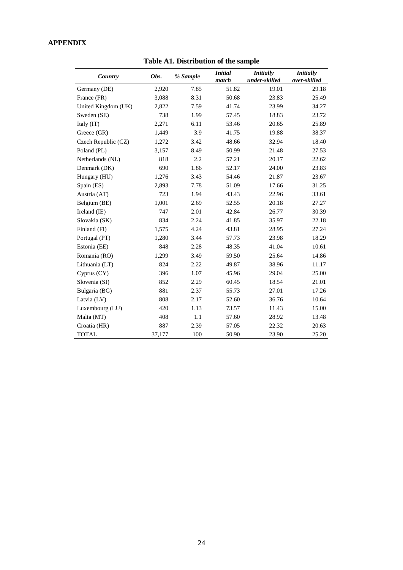# **APPENDIX**

| Country             | Obs.   | % Sample | <b>Initial</b><br>match | <b>Initially</b><br>under-skilled | <b>Initially</b><br>over-skilled |
|---------------------|--------|----------|-------------------------|-----------------------------------|----------------------------------|
| Germany (DE)        | 2,920  | 7.85     | 51.82                   | 19.01                             | 29.18                            |
| France (FR)         | 3,088  | 8.31     | 50.68                   | 23.83                             | 25.49                            |
| United Kingdom (UK) | 2,822  | 7.59     | 41.74                   | 23.99                             | 34.27                            |
| Sweden (SE)         | 738    | 1.99     | 57.45                   | 18.83                             | 23.72                            |
| Italy (IT)          | 2,271  | 6.11     | 53.46                   | 20.65                             | 25.89                            |
| Greece (GR)         | 1,449  | 3.9      | 41.75                   | 19.88                             | 38.37                            |
| Czech Republic (CZ) | 1,272  | 3.42     | 48.66                   | 32.94                             | 18.40                            |
| Poland (PL)         | 3,157  | 8.49     | 50.99                   | 21.48                             | 27.53                            |
| Netherlands (NL)    | 818    | 2.2      | 57.21                   | 20.17                             | 22.62                            |
| Denmark (DK)        | 690    | 1.86     | 52.17                   | 24.00                             | 23.83                            |
| Hungary (HU)        | 1,276  | 3.43     | 54.46                   | 21.87                             | 23.67                            |
| Spain (ES)          | 2,893  | 7.78     | 51.09                   | 17.66                             | 31.25                            |
| Austria (AT)        | 723    | 1.94     | 43.43                   | 22.96                             | 33.61                            |
| Belgium (BE)        | 1,001  | 2.69     | 52.55                   | 20.18                             | 27.27                            |
| Ireland (IE)        | 747    | 2.01     | 42.84                   | 26.77                             | 30.39                            |
| Slovakia (SK)       | 834    | 2.24     | 41.85                   | 35.97                             | 22.18                            |
| Finland (FI)        | 1,575  | 4.24     | 43.81                   | 28.95                             | 27.24                            |
| Portugal (PT)       | 1,280  | 3.44     | 57.73                   | 23.98                             | 18.29                            |
| Estonia (EE)        | 848    | 2.28     | 48.35                   | 41.04                             | 10.61                            |
| Romania (RO)        | 1,299  | 3.49     | 59.50                   | 25.64                             | 14.86                            |
| Lithuania (LT)      | 824    | 2.22     | 49.87                   | 38.96                             | 11.17                            |
| Cyprus (CY)         | 396    | 1.07     | 45.96                   | 29.04                             | 25.00                            |
| Slovenia (SI)       | 852    | 2.29     | 60.45                   | 18.54                             | 21.01                            |
| Bulgaria (BG)       | 881    | 2.37     | 55.73                   | 27.01                             | 17.26                            |
| Latvia (LV)         | 808    | 2.17     | 52.60                   | 36.76                             | 10.64                            |
| Luxembourg (LU)     | 420    | 1.13     | 73.57                   | 11.43                             | 15.00                            |
| Malta (MT)          | 408    | 1.1      | 57.60                   | 28.92                             | 13.48                            |
| Croatia (HR)        | 887    | 2.39     | 57.05                   | 22.32                             | 20.63                            |
| <b>TOTAL</b>        | 37,177 | 100      | 50.90                   | 23.90                             | 25.20                            |

**Table A1. Distribution of the sample**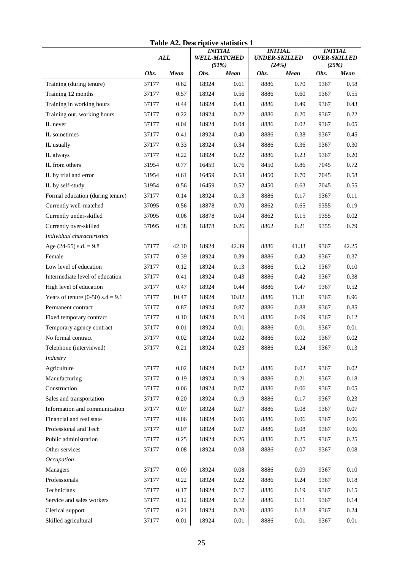|                                    |            |       |                                                | Table A2. Descriptive statistics T |                                                 |             |                                         |             |
|------------------------------------|------------|-------|------------------------------------------------|------------------------------------|-------------------------------------------------|-------------|-----------------------------------------|-------------|
|                                    | <b>ALL</b> |       | <b>INITIAL</b><br><b>WELL-MATCHED</b><br>(51%) |                                    | <b>INITIAL</b><br><b>UNDER-SKILLED</b><br>(24%) |             | <b>INITIAL</b><br>OVER-SKILLED<br>(25%) |             |
|                                    | Obs.       | Mean  | Obs.                                           | <b>Mean</b>                        | Obs.                                            | <b>Mean</b> | Obs.                                    | <b>Mean</b> |
| Training (during tenure)           | 37177      | 0.62  | 18924                                          | 0.61                               | 8886                                            | 0.70        | 9367                                    | 0.58        |
| Training 12 months                 | 37177      | 0.57  | 18924                                          | 0.56                               | 8886                                            | 0.60        | 9367                                    | 0.55        |
| Training in working hours          | 37177      | 0.44  | 18924                                          | 0.43                               | 8886                                            | 0.49        | 9367                                    | 0.43        |
| Training out. working hours        | 37177      | 0.22  | 18924                                          | 0.22                               | 8886                                            | 0.20        | 9367                                    | 0.22        |
| IL never                           | 37177      | 0.04  | 18924                                          | 0.04                               | 8886                                            | 0.02        | 9367                                    | 0.05        |
| IL sometimes                       | 37177      | 0.41  | 18924                                          | 0.40                               | 8886                                            | 0.38        | 9367                                    | 0.45        |
| IL usually                         | 37177      | 0.33  | 18924                                          | 0.34                               | 8886                                            | 0.36        | 9367                                    | 0.30        |
| IL always                          | 37177      | 0.22  | 18924                                          | 0.22                               | 8886                                            | 0.23        | 9367                                    | 0.20        |
| IL from others                     | 31954      | 0.77  | 16459                                          | 0.76                               | 8450                                            | 0.86        | 7045                                    | 0.72        |
| IL by trial and error              | 31954      | 0.61  | 16459                                          | 0.58                               | 8450                                            | 0.70        | 7045                                    | 0.58        |
| IL by self-study                   | 31954      | 0.56  | 16459                                          | 0.52                               | 8450                                            | 0.63        | 7045                                    | 0.55        |
| Formal education (during tenure)   | 37177      | 0.14  | 18924                                          | 0.13                               | 8886                                            | 0.17        | 9367                                    | 0.11        |
| Currently well-matched             | 37095      | 0.56  | 18878                                          | 0.70                               | 8862                                            | 0.65        | 9355                                    | 0.19        |
| Currently under-skilled            | 37095      | 0.06  | 18878                                          | 0.04                               | 8862                                            | 0.15        | 9355                                    | 0.02        |
| Currently over-skilled             | 37095      | 0.38  | 18878                                          | 0.26                               | 8862                                            | 0.21        | 9355                                    | 0.79        |
| Individual characteristics         |            |       |                                                |                                    |                                                 |             |                                         |             |
| Age $(24-65)$ s.d. = 9.8           | 37177      | 42.10 | 18924                                          | 42.39                              | 8886                                            | 41.33       | 9367                                    | 42.25       |
| Female                             | 37177      | 0.39  | 18924                                          | 0.39                               | 8886                                            | 0.42        | 9367                                    | 0.37        |
| Low level of education             | 37177      | 0.12  | 18924                                          | 0.13                               | 8886                                            | 0.12        | 9367                                    | 0.10        |
| Intermediate level of education    | 37177      | 0.41  | 18924                                          | 0.43                               | 8886                                            | 0.42        | 9367                                    | 0.38        |
| High level of education            | 37177      | 0.47  | 18924                                          | 0.44                               | 8886                                            | 0.47        | 9367                                    | 0.52        |
| Years of tenure $(0-50)$ s.d.= 9.1 | 37177      | 10.47 | 18924                                          | 10.82                              | 8886                                            | 11.31       | 9367                                    | 8.96        |
| Permanent contract                 | 37177      | 0.87  | 18924                                          | 0.87                               | 8886                                            | 0.88        | 9367                                    | 0.85        |
| Fixed temporary contract           | 37177      | 0.10  | 18924                                          | 0.10                               | 8886                                            | 0.09        | 9367                                    | 0.12        |
| Temporary agency contract          | 37177      | 0.01  | 18924                                          | 0.01                               | 8886                                            | 0.01        | 9367                                    | 0.01        |
| No formal contract                 | 37177      | 0.02  | 18924                                          | 0.02                               | 8886                                            | 0.02        | 9367                                    | 0.02        |
| Telephone (interviewed)            | 37177      | 0.21  | 18924                                          | 0.23                               | 8886                                            | 0.24        | 9367                                    | 0.13        |
| Industry                           |            |       |                                                |                                    |                                                 |             |                                         |             |
| Agriculture                        | 37177      | 0.02  | 18924                                          | 0.02                               | 8886                                            | 0.02        | 9367                                    | 0.02        |
| Manufacturing                      | 37177      | 0.19  | 18924                                          | 0.19                               | 8886                                            | 0.21        | 9367                                    | 0.18        |
| Construction                       | 37177      | 0.06  | 18924                                          | 0.07                               | 8886                                            | 0.06        | 9367                                    | 0.05        |
| Sales and transportation           | 37177      | 0.20  | 18924                                          | 0.19                               | 8886                                            | 0.17        | 9367                                    | 0.23        |
| Information and communication      | 37177      | 0.07  | 18924                                          | 0.07                               | 8886                                            | 0.08        | 9367                                    | $0.07\,$    |
| Financial and real state           | 37177      | 0.06  | 18924                                          | 0.06                               | 8886                                            | 0.06        | 9367                                    | $0.06\,$    |
| Professional and Tech              | 37177      | 0.07  | 18924                                          | 0.07                               | 8886                                            | 0.08        | 9367                                    | 0.06        |
| Public administration              | 37177      | 0.25  | 18924                                          | 0.26                               | 8886                                            | 0.25        | 9367                                    | 0.25        |
| Other services                     | 37177      | 0.08  | 18924                                          | 0.08                               | 8886                                            | 0.07        | 9367                                    | $0.08\,$    |
| Occupation                         |            |       |                                                |                                    |                                                 |             |                                         |             |
| Managers                           | 37177      | 0.09  | 18924                                          | 0.08                               | 8886                                            | 0.09        | 9367                                    | 0.10        |
| Professionals                      | 37177      | 0.22  | 18924                                          | 0.22                               | 8886                                            | 0.24        | 9367                                    | 0.18        |
| Technicians                        | 37177      | 0.17  | 18924                                          | 0.17                               | 8886                                            | 0.19        | 9367                                    | 0.15        |
| Service and sales workers          | 37177      | 0.12  | 18924                                          | 0.12                               | 8886                                            | 0.11        | 9367                                    | 0.14        |
| Clerical support                   | 37177      | 0.21  | 18924                                          | 0.20                               | 8886                                            | 0.18        | 9367                                    | 0.24        |
| Skilled agricultural               | 37177      | 0.01  | 18924                                          | 0.01                               | 8886                                            | 0.01        | 9367                                    | 0.01        |
|                                    |            |       |                                                |                                    |                                                 |             |                                         |             |

# **Table A2. Descriptive statistics 1**